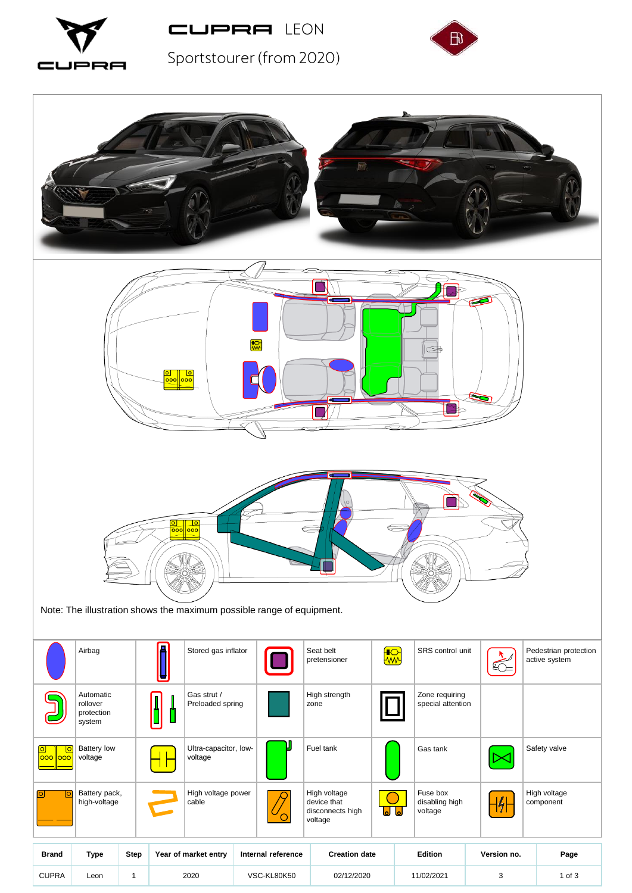



Sportstourer (from 2020)



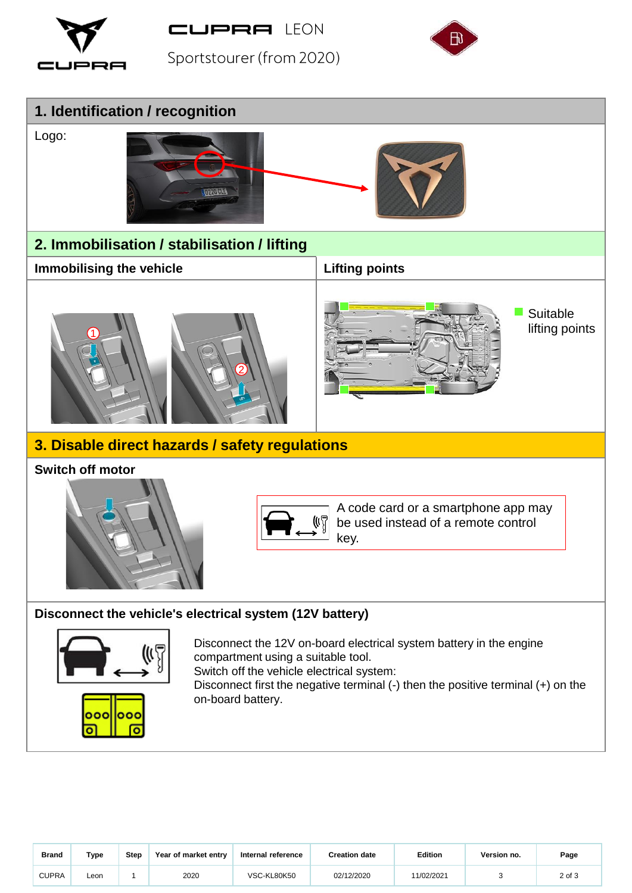

**CUPRA LEON** 

Sportstourer (from 2020)





| <b>Brand</b> | Type | <b>Step</b> | Year of market entry | Internal reference | <b>Creation date</b> | <b>Edition</b> | Version no. | Page   |
|--------------|------|-------------|----------------------|--------------------|----------------------|----------------|-------------|--------|
| <b>CUPRA</b> | Leon |             | 2020                 | VSC-KL80K50        | 02/12/2020           | 11/02/2021     |             | 2 of 3 |